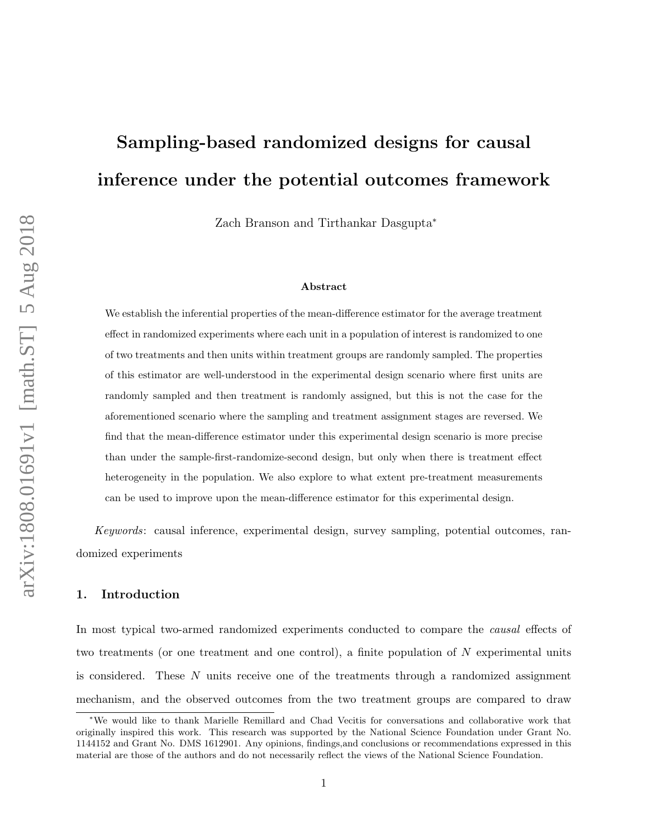# Sampling-based randomized designs for causal inference under the potential outcomes framework

Zach Branson and Tirthankar Dasgupta<sup>∗</sup>

#### Abstract

We establish the inferential properties of the mean-difference estimator for the average treatment effect in randomized experiments where each unit in a population of interest is randomized to one of two treatments and then units within treatment groups are randomly sampled. The properties of this estimator are well-understood in the experimental design scenario where first units are randomly sampled and then treatment is randomly assigned, but this is not the case for the aforementioned scenario where the sampling and treatment assignment stages are reversed. We find that the mean-difference estimator under this experimental design scenario is more precise than under the sample-first-randomize-second design, but only when there is treatment effect heterogeneity in the population. We also explore to what extent pre-treatment measurements can be used to improve upon the mean-difference estimator for this experimental design.

Keywords: causal inference, experimental design, survey sampling, potential outcomes, randomized experiments

## 1. Introduction

In most typical two-armed randomized experiments conducted to compare the causal effects of two treatments (or one treatment and one control), a finite population of  $N$  experimental units is considered. These N units receive one of the treatments through a randomized assignment mechanism, and the observed outcomes from the two treatment groups are compared to draw

<sup>∗</sup>We would like to thank Marielle Remillard and Chad Vecitis for conversations and collaborative work that originally inspired this work. This research was supported by the National Science Foundation under Grant No. 1144152 and Grant No. DMS 1612901. Any opinions, findings,and conclusions or recommendations expressed in this material are those of the authors and do not necessarily reflect the views of the National Science Foundation.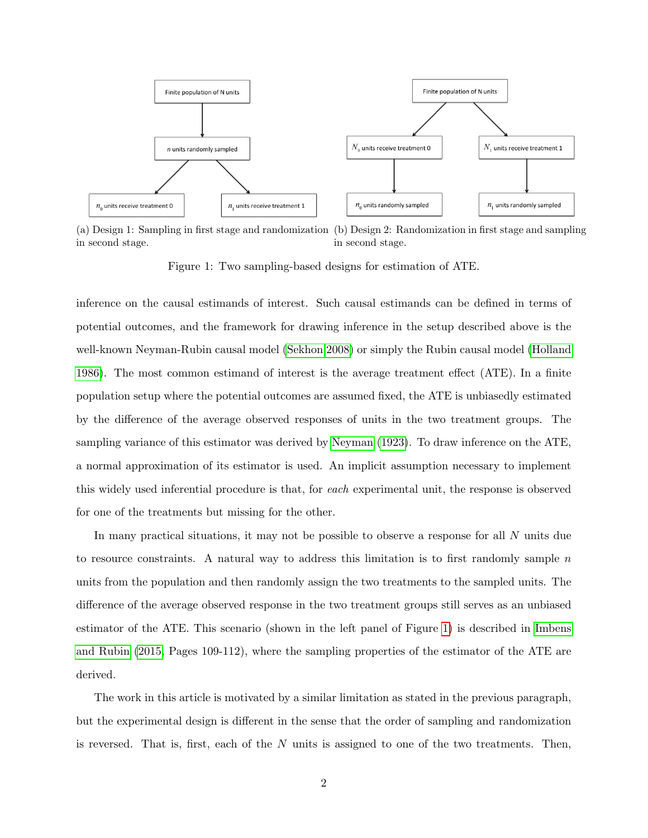<span id="page-1-0"></span>

(a) Design 1: Sampling in first stage and randomization (b) Design 2: Randomization in first stage and sampling in second stage. in second stage.

Figure 1: Two sampling-based designs for estimation of ATE.

inference on the causal estimands of interest. Such causal estimands can be defined in terms of potential outcomes, and the framework for drawing inference in the setup described above is the well-known Neyman-Rubin causal model [\(Sekhon 2008\)](#page-21-0) or simply the Rubin causal model [\(Holland](#page-19-0) [1986\)](#page-19-0). The most common estimand of interest is the average treatment effect (ATE). In a finite population setup where the potential outcomes are assumed fixed, the ATE is unbiasedly estimated by the difference of the average observed responses of units in the two treatment groups. The sampling variance of this estimator was derived by [Neyman](#page-20-0) [\(1923\)](#page-20-0). To draw inference on the ATE, a normal approximation of its estimator is used. An implicit assumption necessary to implement this widely used inferential procedure is that, for each experimental unit, the response is observed for one of the treatments but missing for the other.

In many practical situations, it may not be possible to observe a response for all N units due to resource constraints. A natural way to address this limitation is to first randomly sample  $n$ units from the population and then randomly assign the two treatments to the sampled units. The difference of the average observed response in the two treatment groups still serves as an unbiased estimator of the ATE. This scenario (shown in the left panel of Figure [1\)](#page-1-0) is described in [Imbens](#page-19-1) [and Rubin](#page-19-1) [\(2015,](#page-19-1) Pages 109-112), where the sampling properties of the estimator of the ATE are derived.

The work in this article is motivated by a similar limitation as stated in the previous paragraph, but the experimental design is different in the sense that the order of sampling and randomization is reversed. That is, first, each of the  $N$  units is assigned to one of the two treatments. Then,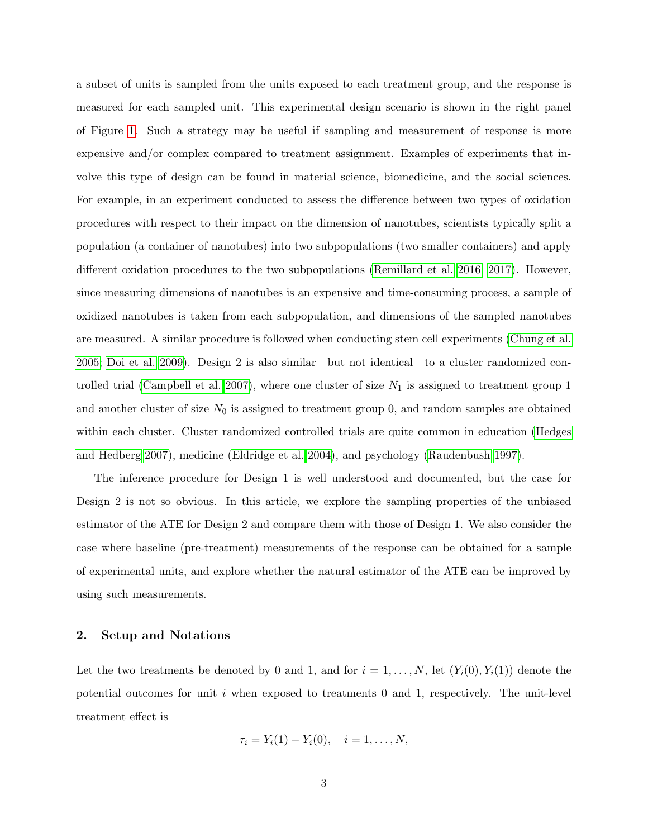a subset of units is sampled from the units exposed to each treatment group, and the response is measured for each sampled unit. This experimental design scenario is shown in the right panel of Figure [1.](#page-1-0) Such a strategy may be useful if sampling and measurement of response is more expensive and/or complex compared to treatment assignment. Examples of experiments that involve this type of design can be found in material science, biomedicine, and the social sciences. For example, in an experiment conducted to assess the difference between two types of oxidation procedures with respect to their impact on the dimension of nanotubes, scientists typically split a population (a container of nanotubes) into two subpopulations (two smaller containers) and apply different oxidation procedures to the two subpopulations [\(Remillard et al. 2016,](#page-20-1) [2017\)](#page-20-2). However, since measuring dimensions of nanotubes is an expensive and time-consuming process, a sample of oxidized nanotubes is taken from each subpopulation, and dimensions of the sampled nanotubes are measured. A similar procedure is followed when conducting stem cell experiments [\(Chung et al.](#page-18-0) [2005;](#page-18-0) [Doi et al. 2009\)](#page-19-2). Design 2 is also similar—but not identical—to a cluster randomized con-trolled trial [\(Campbell et al. 2007\)](#page-18-1), where one cluster of size  $N_1$  is assigned to treatment group 1 and another cluster of size  $N_0$  is assigned to treatment group 0, and random samples are obtained within each cluster. Cluster randomized controlled trials are quite common in education [\(Hedges](#page-19-3) [and Hedberg 2007\)](#page-19-3), medicine [\(Eldridge et al. 2004\)](#page-19-4), and psychology [\(Raudenbush 1997\)](#page-20-3).

The inference procedure for Design 1 is well understood and documented, but the case for Design 2 is not so obvious. In this article, we explore the sampling properties of the unbiased estimator of the ATE for Design 2 and compare them with those of Design 1. We also consider the case where baseline (pre-treatment) measurements of the response can be obtained for a sample of experimental units, and explore whether the natural estimator of the ATE can be improved by using such measurements.

## 2. Setup and Notations

Let the two treatments be denoted by 0 and 1, and for  $i = 1, ..., N$ , let  $(Y_i(0), Y_i(1))$  denote the potential outcomes for unit  $i$  when exposed to treatments 0 and 1, respectively. The unit-level treatment effect is

$$
\tau_i = Y_i(1) - Y_i(0), \quad i = 1, \dots, N,
$$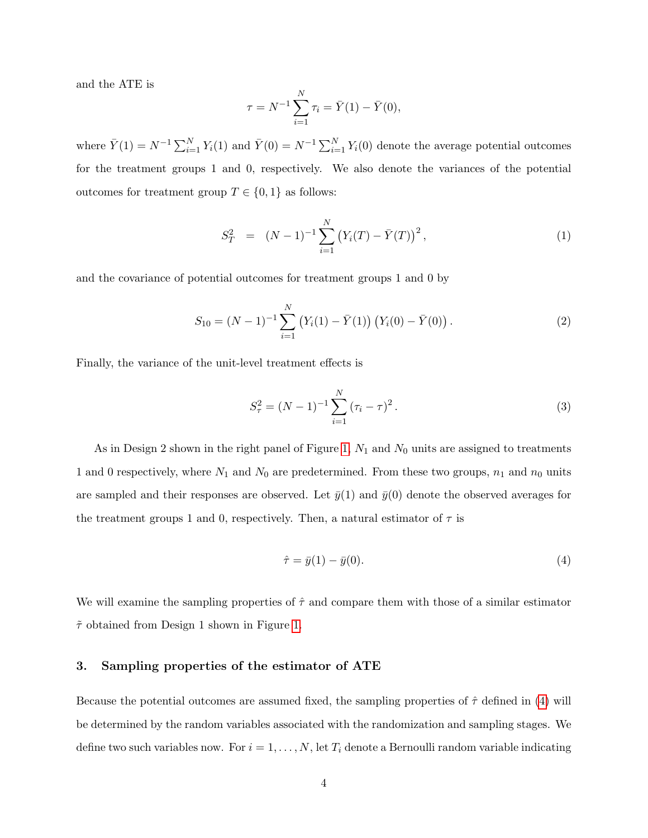and the ATE is

$$
\tau = N^{-1} \sum_{i=1}^{N} \tau_i = \bar{Y}(1) - \bar{Y}(0),
$$

where  $\bar{Y}(1) = N^{-1} \sum_{i=1}^{N} Y_i(1)$  and  $\bar{Y}(0) = N^{-1} \sum_{i=1}^{N} Y_i(0)$  denote the average potential outcomes for the treatment groups 1 and 0, respectively. We also denote the variances of the potential outcomes for treatment group  $T \in \{0, 1\}$  as follows:

<span id="page-3-1"></span>
$$
S_T^2 = (N-1)^{-1} \sum_{i=1}^N (Y_i(T) - \bar{Y}(T))^2, \qquad (1)
$$

and the covariance of potential outcomes for treatment groups 1 and 0 by

<span id="page-3-3"></span>
$$
S_{10} = (N-1)^{-1} \sum_{i=1}^{N} (Y_i(1) - \bar{Y}(1)) (Y_i(0) - \bar{Y}(0)).
$$
 (2)

Finally, the variance of the unit-level treatment effects is

<span id="page-3-2"></span>
$$
S_{\tau}^{2} = (N - 1)^{-1} \sum_{i=1}^{N} (\tau_{i} - \tau)^{2}.
$$
 (3)

As in Design 2 shown in the right panel of Figure [1,](#page-1-0)  $N_1$  and  $N_0$  units are assigned to treatments 1 and 0 respectively, where  $N_1$  and  $N_0$  are predetermined. From these two groups,  $n_1$  and  $n_0$  units are sampled and their responses are observed. Let  $\bar{y}(1)$  and  $\bar{y}(0)$  denote the observed averages for the treatment groups 1 and 0, respectively. Then, a natural estimator of  $\tau$  is

<span id="page-3-0"></span>
$$
\hat{\tau} = \bar{y}(1) - \bar{y}(0). \tag{4}
$$

We will examine the sampling properties of  $\hat{\tau}$  and compare them with those of a similar estimator  $\tilde{\tau}$  obtained from Design 1 shown in Figure [1.](#page-1-0)

# 3. Sampling properties of the estimator of ATE

Because the potential outcomes are assumed fixed, the sampling properties of  $\hat{\tau}$  defined in [\(4\)](#page-3-0) will be determined by the random variables associated with the randomization and sampling stages. We define two such variables now. For  $i = 1, ..., N$ , let  $T_i$  denote a Bernoulli random variable indicating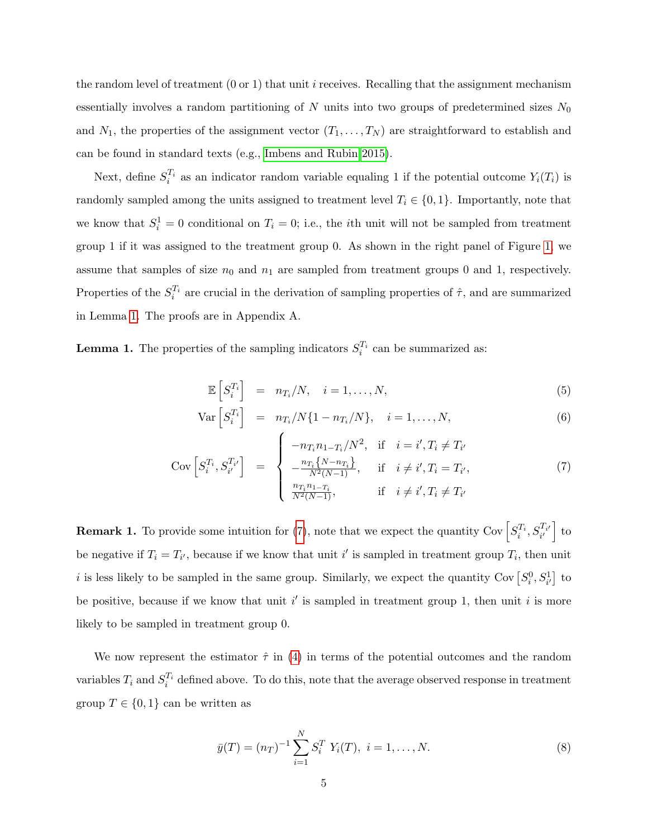the random level of treatment  $(0 \text{ or } 1)$  that unit *i* receives. Recalling that the assignment mechanism essentially involves a random partitioning of N units into two groups of predetermined sizes  $N_0$ and  $N_1$ , the properties of the assignment vector  $(T_1, \ldots, T_N)$  are straightforward to establish and can be found in standard texts (e.g., [Imbens and Rubin 2015\)](#page-19-1).

Next, define  $S_i^{T_i}$  as an indicator random variable equaling 1 if the potential outcome  $Y_i(T_i)$  is randomly sampled among the units assigned to treatment level  $T_i \in \{0, 1\}$ . Importantly, note that we know that  $S_i^1 = 0$  conditional on  $T_i = 0$ ; i.e., the *i*th unit will not be sampled from treatment group 1 if it was assigned to the treatment group 0. As shown in the right panel of Figure [1,](#page-1-0) we assume that samples of size  $n_0$  and  $n_1$  are sampled from treatment groups 0 and 1, respectively. Properties of the  $S_i^{T_i}$  are crucial in the derivation of sampling properties of  $\hat{\tau}$ , and are summarized in Lemma [1.](#page-4-0) The proofs are in Appendix A.

<span id="page-4-0"></span>**Lemma 1.** The properties of the sampling indicators  $S_i^{T_i}$  can be summarized as:

<span id="page-4-1"></span>
$$
\mathbb{E}\left[S_i^{T_i}\right] = n_{T_i}/N, \quad i = 1, \dots, N,
$$
\n(5)

$$
\operatorname{Var}\left[S_i^{T_i}\right] = n_{T_i}/N\{1 - n_{T_i}/N\}, \quad i = 1, \dots, N,\tag{6}
$$

$$
Cov\left[S_i^{T_i}, S_{i'}^{T_{i'}}\right] = \begin{cases} -n_{T_i} n_{1-T_i}/N^2, & \text{if } i = i', T_i \neq T_{i'}\\ -\frac{n_{T_i}\{N-n_{T_i}\}}{N^2(N-1)}, & \text{if } i \neq i', T_i = T_{i'},\\ \frac{n_{T_i} n_{1-T_i}}{N^2(N-1)}, & \text{if } i \neq i', T_i \neq T_{i'} \end{cases}
$$
(7)

**Remark 1.** To provide some intuition for [\(7\)](#page-4-1), note that we expect the quantity Cov  $\left[ S_i^{T_i}, S_{i'}^{T_{i'}} \right]$  to be negative if  $T_i = T_{i'}$ , because if we know that unit i' is sampled in treatment group  $T_i$ , then unit i is less likely to be sampled in the same group. Similarly, we expect the quantity Cov  $[S_i^0, S_{i'}^1]$  to be positive, because if we know that unit  $i'$  is sampled in treatment group 1, then unit i is more likely to be sampled in treatment group 0.

We now represent the estimator  $\hat{\tau}$  in [\(4\)](#page-3-0) in terms of the potential outcomes and the random variables  $T_i$  and  $S_i^{T_i}$  defined above. To do this, note that the average observed response in treatment group  $T \in \{0,1\}$  can be written as

<span id="page-4-2"></span>
$$
\bar{y}(T) = (n_T)^{-1} \sum_{i=1}^{N} S_i^T Y_i(T), \ i = 1, \dots, N. \tag{8}
$$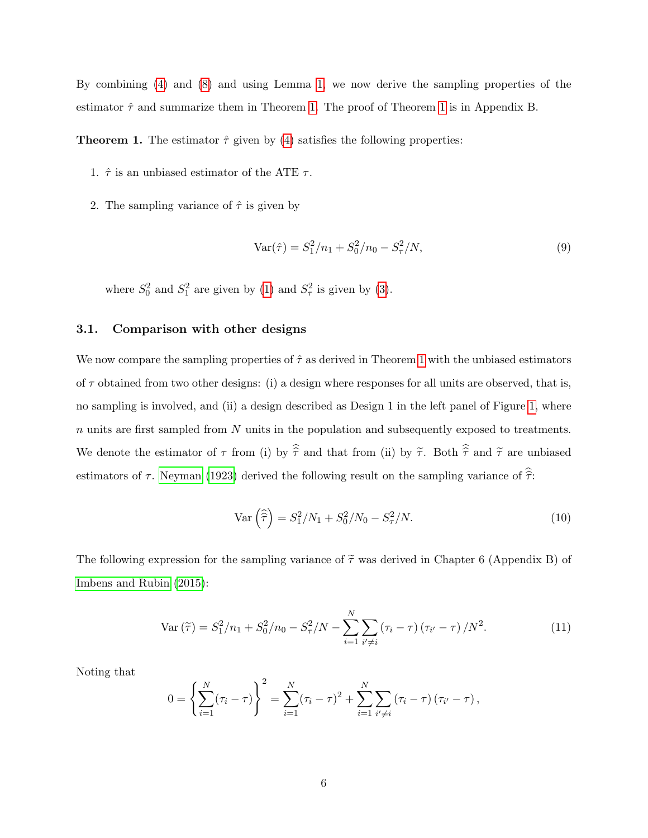By combining [\(4\)](#page-3-0) and [\(8\)](#page-4-2) and using Lemma [1,](#page-4-0) we now derive the sampling properties of the estimator  $\hat{\tau}$  and summarize them in Theorem [1.](#page-5-0) The proof of Theorem [1](#page-5-0) is in Appendix B.

<span id="page-5-0"></span>**Theorem 1.** The estimator  $\hat{\tau}$  given by [\(4\)](#page-3-0) satisfies the following properties:

- 1.  $\hat{\tau}$  is an unbiased estimator of the ATE  $\tau$ .
- 2. The sampling variance of  $\hat{\tau}$  is given by

<span id="page-5-2"></span>
$$
Var(\hat{\tau}) = S_1^2/n_1 + S_0^2/n_0 - S_\tau^2/N,
$$
\n(9)

where  $S_0^2$  and  $S_1^2$  are given by [\(1\)](#page-3-1) and  $S_\tau^2$  is given by [\(3\)](#page-3-2).

# 3.1. Comparison with other designs

We now compare the sampling properties of  $\hat{\tau}$  as derived in Theorem [1](#page-5-0) with the unbiased estimators of  $\tau$  obtained from two other designs: (i) a design where responses for all units are observed, that is, no sampling is involved, and (ii) a design described as Design 1 in the left panel of Figure [1,](#page-1-0) where  $n$  units are first sampled from  $N$  units in the population and subsequently exposed to treatments. We denote the estimator of  $\tau$  from (i) by  $\hat{\hat{\tau}}$  and that from (ii) by  $\tilde{\tau}$ . Both  $\hat{\hat{\tau}}$  and  $\tilde{\tau}$  are unbiased estimators of  $\tau$ . [Neyman](#page-20-0) [\(1923\)](#page-20-0) derived the following result on the sampling variance of  $\hat{\hat{\tau}}$ :

<span id="page-5-3"></span>
$$
\text{Var}\left(\hat{\tilde{\tau}}\right) = S_1^2/N_1 + S_0^2/N_0 - S_\tau^2/N. \tag{10}
$$

The following expression for the sampling variance of  $\tilde{\tau}$  was derived in Chapter 6 (Appendix B) of [Imbens and Rubin](#page-19-1) [\(2015\)](#page-19-1):

<span id="page-5-1"></span>Var 
$$
(\tilde{\tau}) = S_1^2/n_1 + S_0^2/n_0 - S_{\tau}^2/N - \sum_{i=1}^N \sum_{i' \neq i} (\tau_i - \tau) (\tau_{i'} - \tau) / N^2.
$$
 (11)

Noting that

$$
0 = \left\{ \sum_{i=1}^{N} (\tau_i - \tau) \right\}^2 = \sum_{i=1}^{N} (\tau_i - \tau)^2 + \sum_{i=1}^{N} \sum_{i' \neq i} (\tau_i - \tau) (\tau_{i'} - \tau),
$$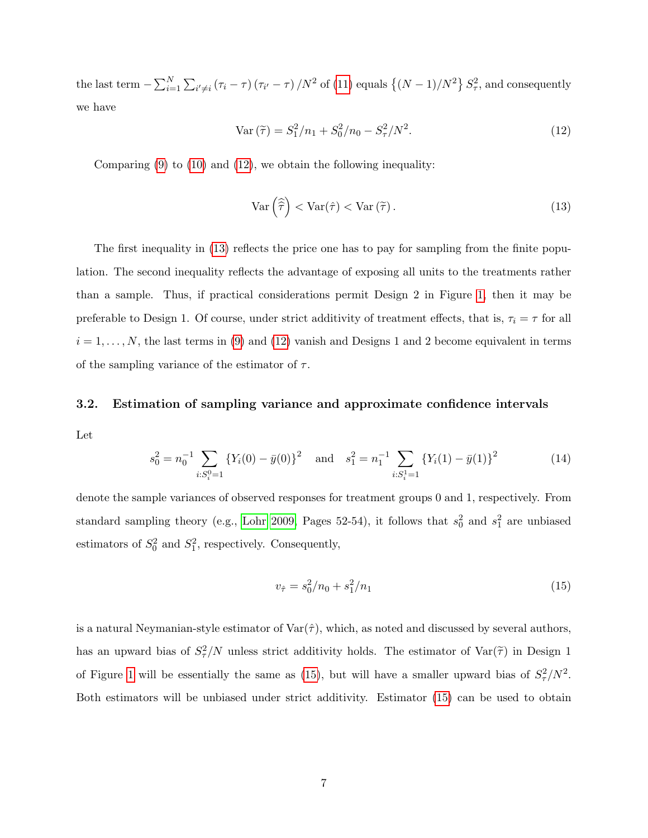the last term  $-\sum_{i=1}^N\sum_{i'\neq i}(\tau_i-\tau)(\tau_{i'}-\tau)/N^2$  of [\(11\)](#page-5-1) equals  $\{(N-1)/N^2\}S_{\tau}^2$ , and consequently we have

<span id="page-6-0"></span>
$$
\text{Var}\left(\tilde{\tau}\right) = S_1^2 / n_1 + S_0^2 / n_0 - S_\tau^2 / N^2. \tag{12}
$$

Comparing  $(9)$  to  $(10)$  and  $(12)$ , we obtain the following inequality:

<span id="page-6-1"></span>
$$
\operatorname{Var}\left(\widehat{\tilde{\tau}}\right) < \operatorname{Var}(\hat{\tau}) < \operatorname{Var}\left(\widetilde{\tau}\right). \tag{13}
$$

The first inequality in [\(13\)](#page-6-1) reflects the price one has to pay for sampling from the finite population. The second inequality reflects the advantage of exposing all units to the treatments rather than a sample. Thus, if practical considerations permit Design 2 in Figure [1,](#page-1-0) then it may be preferable to Design 1. Of course, under strict additivity of treatment effects, that is,  $\tau_i = \tau$  for all  $i = 1, \ldots, N$ , the last terms in [\(9\)](#page-5-2) and [\(12\)](#page-6-0) vanish and Designs 1 and 2 become equivalent in terms of the sampling variance of the estimator of  $\tau$ .

# 3.2. Estimation of sampling variance and approximate confidence intervals

Let

$$
s_0^2 = n_0^{-1} \sum_{i:S_i^0 = 1} \{ Y_i(0) - \bar{y}(0) \}^2 \quad \text{and} \quad s_1^2 = n_1^{-1} \sum_{i:S_i^1 = 1} \{ Y_i(1) - \bar{y}(1) \}^2 \tag{14}
$$

denote the sample variances of observed responses for treatment groups 0 and 1, respectively. From standard sampling theory (e.g., [Lohr 2009,](#page-19-5) Pages 52-54), it follows that  $s_0^2$  and  $s_1^2$  are unbiased estimators of  $S_0^2$  and  $S_1^2$ , respectively. Consequently,

<span id="page-6-2"></span>
$$
v_{\hat{\tau}} = s_0^2 / n_0 + s_1^2 / n_1 \tag{15}
$$

is a natural Neymanian-style estimator of  $\text{Var}(\hat{\tau})$ , which, as noted and discussed by several authors, has an upward bias of  $S^2_\tau/N$  unless strict additivity holds. The estimator of  $\text{Var}(\tilde{\tau})$  in Design 1 of Figure [1](#page-1-0) will be essentially the same as [\(15\)](#page-6-2), but will have a smaller upward bias of  $S_{\tau}^2/N^2$ . Both estimators will be unbiased under strict additivity. Estimator [\(15\)](#page-6-2) can be used to obtain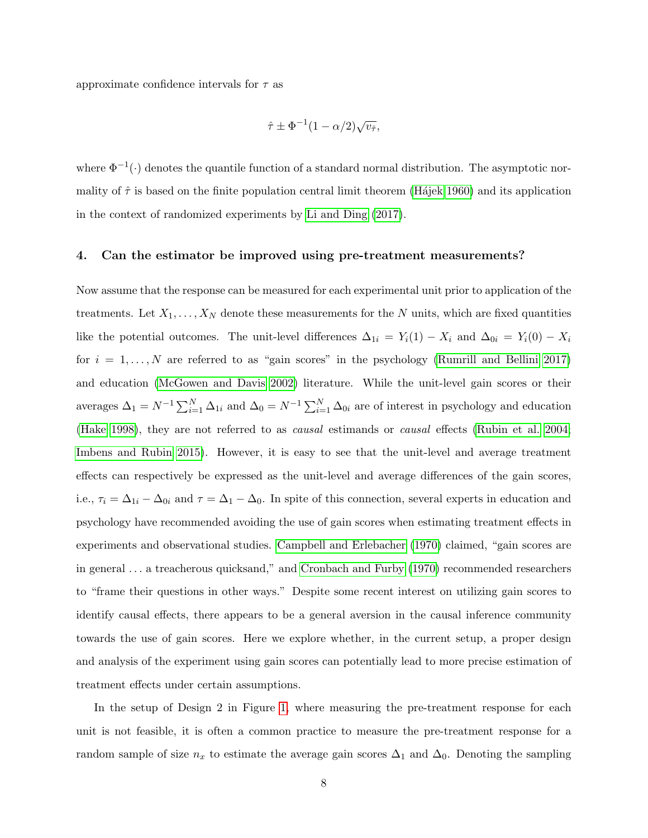approximate confidence intervals for  $\tau$  as

$$
\hat{\tau} \pm \Phi^{-1} (1 - \alpha/2) \sqrt{v_{\hat{\tau}}},
$$

where  $\Phi^{-1}(\cdot)$  denotes the quantile function of a standard normal distribution. The asymptotic normality of  $\hat{\tau}$  is based on the finite population central limit theorem (Hajek 1960) and its application in the context of randomized experiments by [Li and Ding](#page-19-7) [\(2017\)](#page-19-7).

#### 4. Can the estimator be improved using pre-treatment measurements?

Now assume that the response can be measured for each experimental unit prior to application of the treatments. Let  $X_1, \ldots, X_N$  denote these measurements for the N units, which are fixed quantities like the potential outcomes. The unit-level differences  $\Delta_{1i} = Y_i(1) - X_i$  and  $\Delta_{0i} = Y_i(0) - X_i$ for  $i = 1, ..., N$  are referred to as "gain scores" in the psychology [\(Rumrill and Bellini 2017\)](#page-20-4) and education [\(McGowen and Davis 2002\)](#page-20-5) literature. While the unit-level gain scores or their averages  $\Delta_1 = N^{-1} \sum_{i=1}^N \Delta_{1i}$  and  $\Delta_0 = N^{-1} \sum_{i=1}^N \Delta_{0i}$  are of interest in psychology and education [\(Hake 1998\)](#page-19-8), they are not referred to as causal estimands or causal effects [\(Rubin et al. 2004;](#page-20-6) [Imbens and Rubin 2015\)](#page-19-1). However, it is easy to see that the unit-level and average treatment effects can respectively be expressed as the unit-level and average differences of the gain scores, i.e.,  $\tau_i = \Delta_{1i} - \Delta_{0i}$  and  $\tau = \Delta_1 - \Delta_0$ . In spite of this connection, several experts in education and psychology have recommended avoiding the use of gain scores when estimating treatment effects in experiments and observational studies. [Campbell and Erlebacher](#page-18-2) [\(1970\)](#page-18-2) claimed, "gain scores are in general . . . a treacherous quicksand," and [Cronbach and Furby](#page-18-3) [\(1970\)](#page-18-3) recommended researchers to "frame their questions in other ways." Despite some recent interest on utilizing gain scores to identify causal effects, there appears to be a general aversion in the causal inference community towards the use of gain scores. Here we explore whether, in the current setup, a proper design and analysis of the experiment using gain scores can potentially lead to more precise estimation of treatment effects under certain assumptions.

In the setup of Design 2 in Figure [1,](#page-1-0) where measuring the pre-treatment response for each unit is not feasible, it is often a common practice to measure the pre-treatment response for a random sample of size  $n_x$  to estimate the average gain scores  $\Delta_1$  and  $\Delta_0$ . Denoting the sampling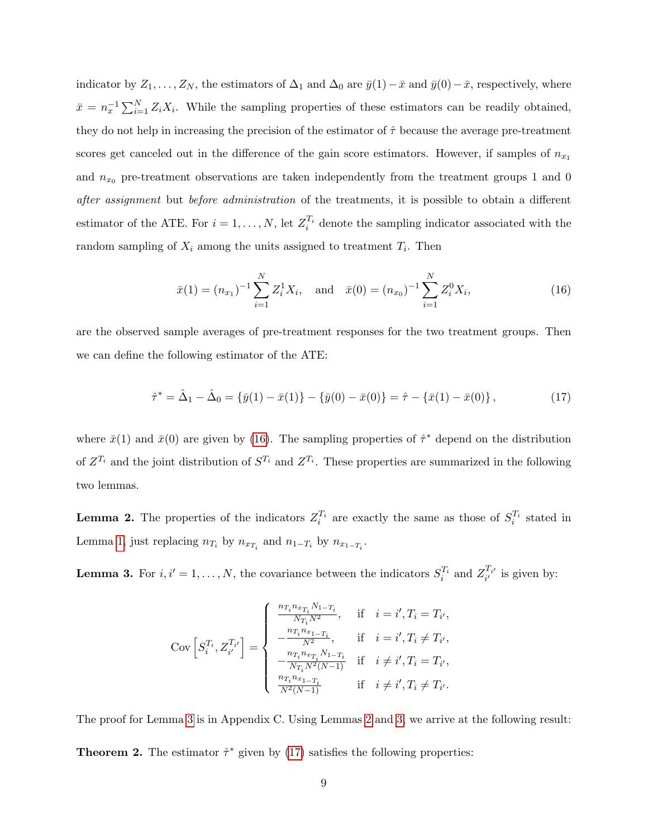indicator by  $Z_1, \ldots, Z_N$ , the estimators of  $\Delta_1$  and  $\Delta_0$  are  $\bar{y}(1)-\bar{x}$  and  $\bar{y}(0)-\bar{x}$ , respectively, where  $\bar{x} = n_x^{-1} \sum_{i=1}^{N} Z_i X_i$ . While the sampling properties of these estimators can be readily obtained, they do not help in increasing the precision of the estimator of  $\hat{\tau}$  because the average pre-treatment scores get canceled out in the difference of the gain score estimators. However, if samples of  $n_{x_1}$ and  $n_{x_0}$  pre-treatment observations are taken independently from the treatment groups 1 and 0 after assignment but before administration of the treatments, it is possible to obtain a different estimator of the ATE. For  $i = 1, ..., N$ , let  $Z_i^{T_i}$  denote the sampling indicator associated with the random sampling of  $X_i$  among the units assigned to treatment  $T_i$ . Then

<span id="page-8-0"></span>
$$
\bar{x}(1) = (n_{x_1})^{-1} \sum_{i=1}^{N} Z_i^1 X_i
$$
, and  $\bar{x}(0) = (n_{x_0})^{-1} \sum_{i=1}^{N} Z_i^0 X_i$ , (16)

are the observed sample averages of pre-treatment responses for the two treatment groups. Then we can define the following estimator of the ATE:

<span id="page-8-3"></span>
$$
\hat{\tau}^* = \hat{\Delta}_1 - \hat{\Delta}_0 = \{\bar{y}(1) - \bar{x}(1)\} - \{\bar{y}(0) - \bar{x}(0)\} = \hat{\tau} - \{\bar{x}(1) - \bar{x}(0)\},\tag{17}
$$

where  $\bar{x}(1)$  and  $\bar{x}(0)$  are given by [\(16\)](#page-8-0). The sampling properties of  $\hat{\tau}^*$  depend on the distribution of  $Z^{T_i}$  and the joint distribution of  $S^{T_i}$  and  $Z^{T_i}$ . These properties are summarized in the following two lemmas.

<span id="page-8-2"></span>**Lemma 2.** The properties of the indicators  $Z_i^{T_i}$  are exactly the same as those of  $S_i^{T_i}$  stated in Lemma [1,](#page-4-0) just replacing  $n_{T_i}$  by  $n_{x_{T_i}}$  and  $n_{1-T_i}$  by  $n_{x_{1-T_i}}$ .

<span id="page-8-1"></span>**Lemma 3.** For  $i, i' = 1, ..., N$ , the covariance between the indicators  $S_i^{T_i}$  and  $Z_{i'}^{T_{i'}}$  is given by:

$$
\text{Cov}\left[S_{i}^{T_{i}}, Z_{i'}^{T_{i'}}\right] = \begin{cases} \frac{n_{T_{i}}n_{x_{T_{i}}}N_{1-T_{i}}}{N_{T_{i}}N^{2}}, & \text{if } i = i', T_{i} = T_{i'},\\ -\frac{n_{T_{i}}n_{x_{1}-T_{i}}}{N_{T_{i}}N^{2}}, & \text{if } i = i', T_{i} \neq T_{i'},\\ -\frac{n_{T_{i}}n_{x_{T_{i}}}N_{1-T_{i}}}{N_{T_{i}}N^{2}(N-1)} & \text{if } i \neq i', T_{i} = T_{i'},\\ \frac{n_{T_{i}}n_{x_{1}-T_{i}}}{N^{2}(N-1)} & \text{if } i \neq i', T_{i} \neq T_{i'}.\end{cases}
$$

The proof for Lemma [3](#page-8-1) is in Appendix C. Using Lemmas [2](#page-8-2) and [3,](#page-8-1) we arrive at the following result:

<span id="page-8-4"></span>**Theorem 2.** The estimator  $\hat{\tau}^*$  given by [\(17\)](#page-8-3) satisfies the following properties: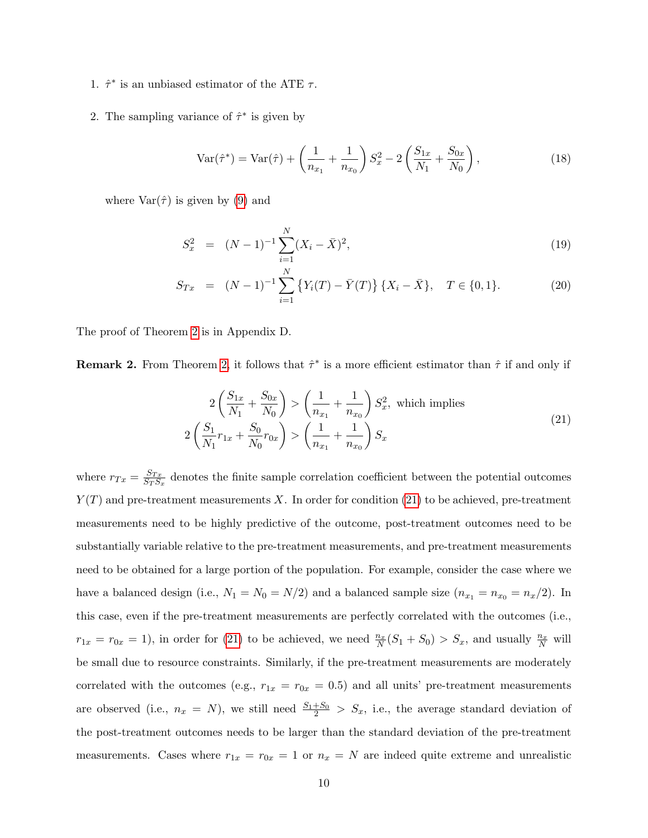- 1.  $\hat{\tau}^*$  is an unbiased estimator of the ATE  $\tau$ .
- 2. The sampling variance of  $\hat{\tau}^*$  is given by

$$
\text{Var}(\hat{\tau}^*) = \text{Var}(\hat{\tau}) + \left(\frac{1}{n_{x_1}} + \frac{1}{n_{x_0}}\right) S_x^2 - 2\left(\frac{S_{1x}}{N_1} + \frac{S_{0x}}{N_0}\right),\tag{18}
$$

where  $\text{Var}(\hat{\tau})$  is given by [\(9\)](#page-5-2) and

<span id="page-9-1"></span>
$$
S_x^2 = (N-1)^{-1} \sum_{i=1}^{N} (X_i - \bar{X})^2,
$$
\n(19)

$$
S_{Tx} = (N-1)^{-1} \sum_{i=1}^{N} \left\{ Y_i(T) - \bar{Y}(T) \right\} \left\{ X_i - \bar{X} \right\}, \quad T \in \{0, 1\}. \tag{20}
$$

The proof of Theorem [2](#page-8-4) is in Appendix D.

**Remark 2.** From Theorem [2,](#page-8-4) it follows that  $\hat{\tau}^*$  is a more efficient estimator than  $\hat{\tau}$  if and only if

<span id="page-9-0"></span>
$$
2\left(\frac{S_{1x}}{N_1} + \frac{S_{0x}}{N_0}\right) > \left(\frac{1}{n_{x_1}} + \frac{1}{n_{x_0}}\right)S_x^2, \text{ which implies}
$$
  

$$
2\left(\frac{S_1}{N_1}r_{1x} + \frac{S_0}{N_0}r_{0x}\right) > \left(\frac{1}{n_{x_1}} + \frac{1}{n_{x_0}}\right)S_x
$$
 (21)

where  $r_{Tx} = \frac{S_{Tx}}{S_{T}S_{x}}$  $\frac{S_{Tx}}{S_T S_x}$  denotes the finite sample correlation coefficient between the potential outcomes  $Y(T)$  and pre-treatment measurements X. In order for condition [\(21\)](#page-9-0) to be achieved, pre-treatment measurements need to be highly predictive of the outcome, post-treatment outcomes need to be substantially variable relative to the pre-treatment measurements, and pre-treatment measurements need to be obtained for a large portion of the population. For example, consider the case where we have a balanced design (i.e.,  $N_1 = N_0 = N/2$ ) and a balanced sample size  $(n_{x_1} = n_{x_0} = n_x/2)$ . In this case, even if the pre-treatment measurements are perfectly correlated with the outcomes (i.e.,  $r_{1x} = r_{0x} = 1$ , in order for [\(21\)](#page-9-0) to be achieved, we need  $\frac{n_x}{N}(S_1 + S_0) > S_x$ , and usually  $\frac{n_x}{N}$  will be small due to resource constraints. Similarly, if the pre-treatment measurements are moderately correlated with the outcomes (e.g.,  $r_{1x} = r_{0x} = 0.5$ ) and all units' pre-treatment measurements are observed (i.e.,  $n_x = N$ ), we still need  $\frac{S_1 + S_0}{2} > S_x$ , i.e., the average standard deviation of the post-treatment outcomes needs to be larger than the standard deviation of the pre-treatment measurements. Cases where  $r_{1x} = r_{0x} = 1$  or  $n_x = N$  are indeed quite extreme and unrealistic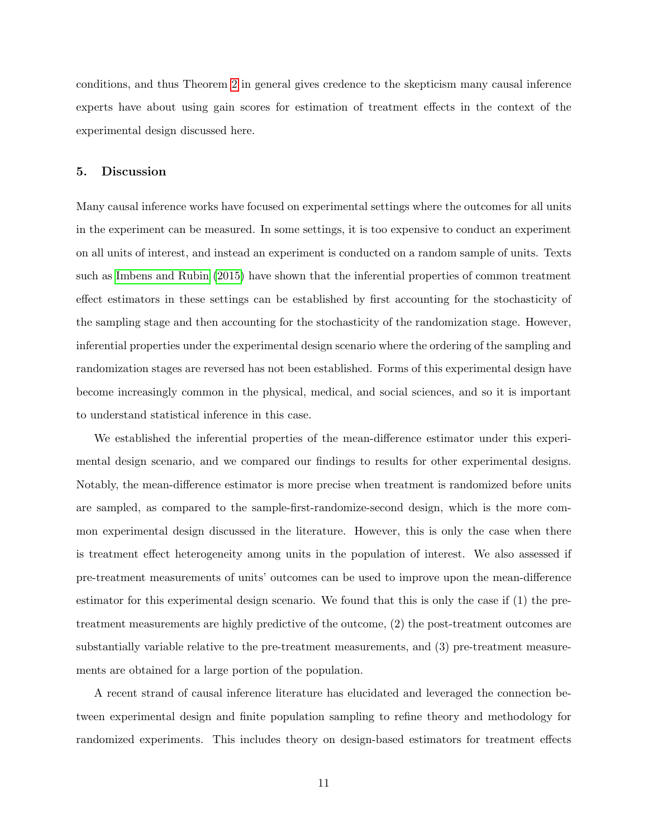conditions, and thus Theorem [2](#page-8-4) in general gives credence to the skepticism many causal inference experts have about using gain scores for estimation of treatment effects in the context of the experimental design discussed here.

### 5. Discussion

Many causal inference works have focused on experimental settings where the outcomes for all units in the experiment can be measured. In some settings, it is too expensive to conduct an experiment on all units of interest, and instead an experiment is conducted on a random sample of units. Texts such as [Imbens and Rubin](#page-19-1) [\(2015\)](#page-19-1) have shown that the inferential properties of common treatment effect estimators in these settings can be established by first accounting for the stochasticity of the sampling stage and then accounting for the stochasticity of the randomization stage. However, inferential properties under the experimental design scenario where the ordering of the sampling and randomization stages are reversed has not been established. Forms of this experimental design have become increasingly common in the physical, medical, and social sciences, and so it is important to understand statistical inference in this case.

We established the inferential properties of the mean-difference estimator under this experimental design scenario, and we compared our findings to results for other experimental designs. Notably, the mean-difference estimator is more precise when treatment is randomized before units are sampled, as compared to the sample-first-randomize-second design, which is the more common experimental design discussed in the literature. However, this is only the case when there is treatment effect heterogeneity among units in the population of interest. We also assessed if pre-treatment measurements of units' outcomes can be used to improve upon the mean-difference estimator for this experimental design scenario. We found that this is only the case if (1) the pretreatment measurements are highly predictive of the outcome, (2) the post-treatment outcomes are substantially variable relative to the pre-treatment measurements, and (3) pre-treatment measurements are obtained for a large portion of the population.

A recent strand of causal inference literature has elucidated and leveraged the connection between experimental design and finite population sampling to refine theory and methodology for randomized experiments. This includes theory on design-based estimators for treatment effects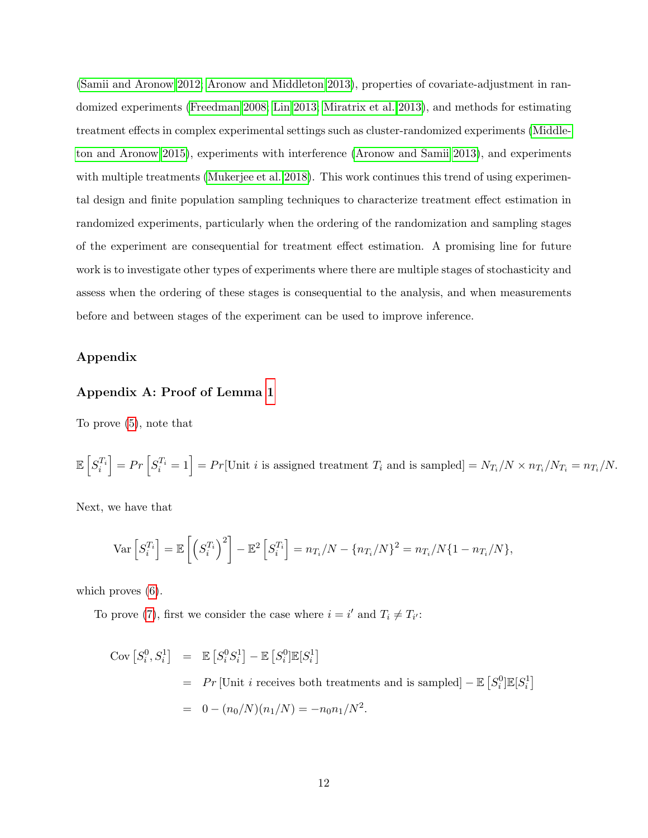[\(Samii and Aronow 2012;](#page-21-1) [Aronow and Middleton 2013\)](#page-18-4), properties of covariate-adjustment in randomized experiments [\(Freedman 2008;](#page-19-9) [Lin 2013;](#page-19-10) [Miratrix et al. 2013\)](#page-20-7), and methods for estimating treatment effects in complex experimental settings such as cluster-randomized experiments [\(Middle](#page-20-8)[ton and Aronow 2015\)](#page-20-8), experiments with interference [\(Aronow and Samii 2013\)](#page-18-5), and experiments with multiple treatments [\(Mukerjee et al. 2018\)](#page-20-9). This work continues this trend of using experimental design and finite population sampling techniques to characterize treatment effect estimation in randomized experiments, particularly when the ordering of the randomization and sampling stages of the experiment are consequential for treatment effect estimation. A promising line for future work is to investigate other types of experiments where there are multiple stages of stochasticity and assess when the ordering of these stages is consequential to the analysis, and when measurements before and between stages of the experiment can be used to improve inference.

# Appendix

# Appendix A: Proof of Lemma [1](#page-4-0)

To prove [\(5\)](#page-4-1), note that

$$
\mathbb{E}\left[S_i^{T_i}\right] = Pr\left[S_i^{T_i} = 1\right] = Pr[\text{Unit } i \text{ is assigned treatment } T_i \text{ and is sampled}] = N_{T_i}/N \times n_{T_i}/N_{T_i} = n_{T_i}/N.
$$

Next, we have that

$$
\text{Var}\left[S_i^{T_i}\right] = \mathbb{E}\left[\left(S_i^{T_i}\right)^2\right] - \mathbb{E}^2\left[S_i^{T_i}\right] = n_{T_i}/N - \{n_{T_i}/N\}^2 = n_{T_i}/N\{1 - n_{T_i}/N\},\
$$

which proves  $(6)$ .

To prove [\(7\)](#page-4-1), first we consider the case where  $i = i'$  and  $T_i \neq T_{i'}$ :

$$
Cov [S_i^0, S_i^1] = \mathbb{E} [S_i^0 S_i^1] - \mathbb{E} [S_i^0] \mathbb{E} [S_i^1]
$$
  
= Pr [Unit *i* receives both treatments and is sampled] -  $\mathbb{E} [S_i^0] \mathbb{E} [S_i^1]$   
=  $0 - (n_0/N)(n_1/N) = -n_0 n_1/N^2$ .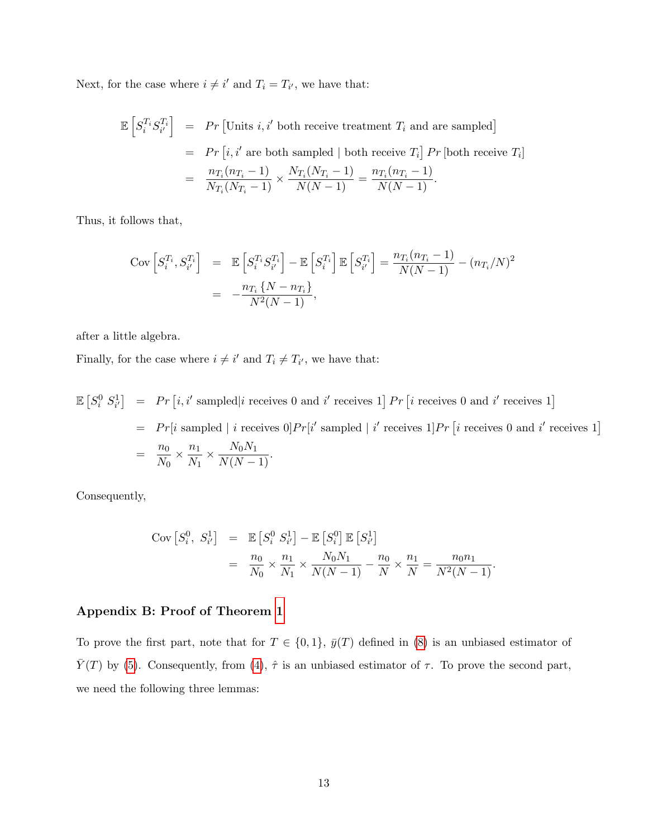Next, for the case where  $i \neq i'$  and  $T_i = T_{i'}$ , we have that:

$$
\mathbb{E}\left[S_i^{T_i}S_{i'}^{T_i}\right] = Pr\left[\text{Units } i, i'\text{ both receive treatment } T_i \text{ and are sampled}\right]
$$

$$
= Pr\left[i, i'\text{ are both sampled } \mid \text{ both receive } T_i\right] Pr\left[\text{both receive } T_i\right]
$$

$$
= \frac{n_{T_i}(n_{T_i} - 1)}{N_{T_i}(N_{T_i} - 1)} \times \frac{N_{T_i}(N_{T_i} - 1)}{N(N - 1)} = \frac{n_{T_i}(n_{T_i} - 1)}{N(N - 1)}.
$$

Thus, it follows that,

$$
\begin{aligned}\n\text{Cov}\left[S_i^{T_i}, S_{i'}^{T_i}\right] &= \mathbb{E}\left[S_i^{T_i} S_{i'}^{T_i}\right] - \mathbb{E}\left[S_i^{T_i}\right] \mathbb{E}\left[S_{i'}^{T_i}\right] = \frac{n_{T_i}(n_{T_i} - 1)}{N(N - 1)} - (n_{T_i}/N)^2 \\
&= -\frac{n_{T_i}\{N - n_{T_i}\}}{N^2(N - 1)},\n\end{aligned}
$$

after a little algebra.

Finally, for the case where  $i \neq i'$  and  $T_i \neq T_{i'}$ , we have that:

 $\mathbb{E}\left[S_i^0\ S_{i'}^1\right] = Pr\left[i, i'\ \text{sampled}\middle|i\ \text{receives}\ 0\ \text{and}\ i'\ \text{receives}\ 1\right] Pr\left[i\ \text{receives}\ 0\ \text{and}\ i'\ \text{receives}\ 1\right]$  $= Pr[i \text{ sampled } | i \text{ receives } 0] Pr[i' \text{ sampled } | i' \text{ receives } 1] Pr[i \text{ receives } 0 \text{ and } i' \text{ receives } 1]$  $=\frac{n_0}{N}$  $\frac{n_0}{N_0} \times \frac{n_1}{N_1}$  $\frac{n_1}{N_1} \times \frac{N_0 N_1}{N(N-1)}$ .

Consequently,

$$
\begin{array}{rcl}\n\text{Cov}\left[S_i^0, S_{i'}^1\right] & = & \mathbb{E}\left[S_i^0 S_{i'}^1\right] - \mathbb{E}\left[S_i^0\right] \mathbb{E}\left[S_{i'}^1\right] \\
& = & \frac{n_0}{N_0} \times \frac{n_1}{N_1} \times \frac{N_0 N_1}{N(N-1)} - \frac{n_0}{N} \times \frac{n_1}{N} = \frac{n_0 n_1}{N^2(N-1)}.\n\end{array}
$$

# Appendix B: Proof of Theorem [1](#page-5-0)

To prove the first part, note that for  $T \in \{0,1\}$ ,  $\bar{y}(T)$  defined in [\(8\)](#page-4-2) is an unbiased estimator of  $\overline{Y}(T)$  by [\(5\)](#page-4-1). Consequently, from [\(4\)](#page-3-0),  $\hat{\tau}$  is an unbiased estimator of  $\tau$ . To prove the second part, we need the following three lemmas: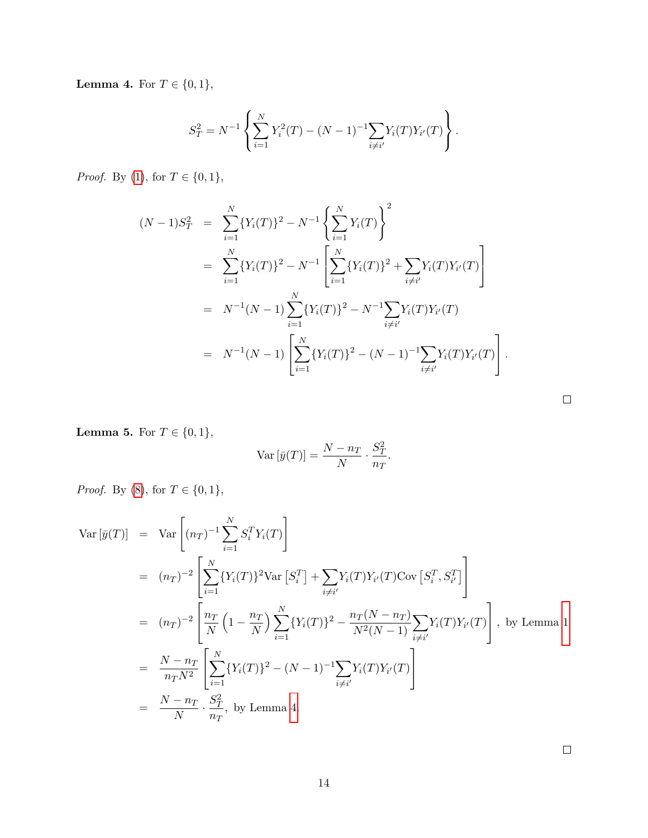<span id="page-13-0"></span>**Lemma 4.** For  $T \in \{0, 1\}$ ,

$$
S_T^2 = N^{-1} \left\{ \sum_{i=1}^N Y_i^2(T) - (N-1)^{-1} \sum_{i \neq i'} Y_i(T) Y_{i'}(T) \right\}.
$$

*Proof.* By [\(1\)](#page-3-1), for  $T \in \{0, 1\}$ ,

$$
(N-1)S_T^2 = \sum_{i=1}^N \{Y_i(T)\}^2 - N^{-1} \left\{ \sum_{i=1}^N Y_i(T) \right\}^2
$$
  
= 
$$
\sum_{i=1}^N \{Y_i(T)\}^2 - N^{-1} \left[ \sum_{i=1}^N \{Y_i(T)\}^2 + \sum_{i \neq i'} Y_i(T)Y_{i'}(T) \right]
$$
  
= 
$$
N^{-1}(N-1) \sum_{i=1}^N \{Y_i(T)\}^2 - N^{-1} \sum_{i \neq i'} Y_i(T)Y_{i'}(T)
$$
  
= 
$$
N^{-1}(N-1) \left[ \sum_{i=1}^N \{Y_i(T)\}^2 - (N-1)^{-1} \sum_{i \neq i'} Y_i(T)Y_{i'}(T) \right].
$$

<span id="page-13-1"></span>**Lemma 5.** For  $T \in \{0, 1\}$ ,

$$
\text{Var}\left[\bar{y}(T)\right] = \frac{N - n_T}{N} \cdot \frac{S_T^2}{n_T}.
$$

*Proof.* By [\(8\)](#page-4-2), for  $T \in \{0, 1\}$ ,

$$
\begin{split}\n\text{Var}\left[\bar{y}(T)\right] &= \text{Var}\left[(n_{T})^{-1} \sum_{i=1}^{N} S_{i}^{T} Y_{i}(T)\right] \\
&= (n_{T})^{-2} \left[ \sum_{i=1}^{N} \{Y_{i}(T)\}^{2} \text{Var}\left[S_{i}^{T}\right] + \sum_{i \neq i'} Y_{i}(T) Y_{i'}(T) \text{Cov}\left[S_{i}^{T}, S_{i'}^{T}\right] \right] \\
&= (n_{T})^{-2} \left[ \frac{n_{T}}{N} \left(1 - \frac{n_{T}}{N}\right) \sum_{i=1}^{N} \{Y_{i}(T)\}^{2} - \frac{n_{T}(N - n_{T})}{N^{2}(N - 1)} \sum_{i \neq i'} Y_{i}(T) Y_{i'}(T) \right], \text{ by Lemma 1} \\
&= \frac{N - n_{T}}{n_{T} N^{2}} \left[ \sum_{i=1}^{N} \{Y_{i}(T)\}^{2} - (N - 1)^{-1} \sum_{i \neq i'} Y_{i}(T) Y_{i'}(T) \right] \\
&= \frac{N - n_{T}}{N} \cdot \frac{S_{T}^{2}}{n_{T}}, \text{ by Lemma 4.}\n\end{split}
$$

 $\Box$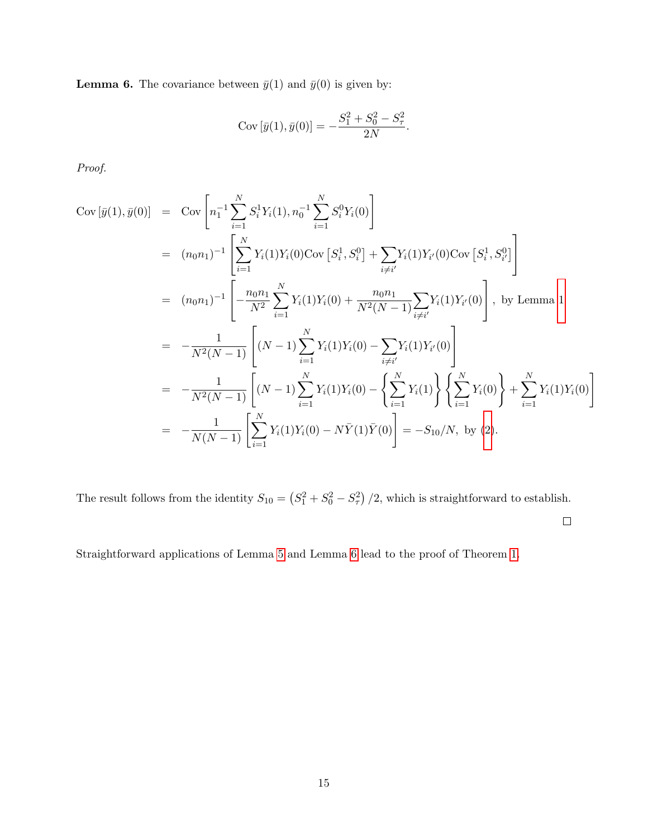<span id="page-14-0"></span>**Lemma 6.** The covariance between  $\bar{y}(1)$  and  $\bar{y}(0)$  is given by:

Cov 
$$
[\bar{y}(1), \bar{y}(0)] = -\frac{S_1^2 + S_0^2 - S_\tau^2}{2N}
$$
.

Proof.

$$
Cov[\bar{y}(1), \bar{y}(0)] = Cov\left[n_1^{-1} \sum_{i=1}^N S_i^1 Y_i(1), n_0^{-1} \sum_{i=1}^N S_i^0 Y_i(0)\right]
$$
  
\n
$$
= (n_0 n_1)^{-1} \left[\sum_{i=1}^N Y_i(1) Y_i(0) Cov[S_i^1, S_i^0] + \sum_{i \neq i'} Y_i(1) Y_{i'}(0) Cov[S_i^1, S_{i'}^0]\right]
$$
  
\n
$$
= (n_0 n_1)^{-1} \left[-\frac{n_0 n_1}{N^2} \sum_{i=1}^N Y_i(1) Y_i(0) + \frac{n_0 n_1}{N^2(N-1)} \sum_{i \neq i'} Y_i(1) Y_{i'}(0)\right], \text{ by Lemma 1}
$$
  
\n
$$
= -\frac{1}{N^2(N-1)} \left[(N-1) \sum_{i=1}^N Y_i(1) Y_i(0) - \sum_{i \neq i'} Y_i(1) Y_{i'}(0)\right]
$$
  
\n
$$
= -\frac{1}{N^2(N-1)} \left[(N-1) \sum_{i=1}^N Y_i(1) Y_i(0) - \left{\sum_{i=1}^N Y_i(1)\right} \left{\sum_{i=1}^N Y_i(0)\right} + \sum_{i=1}^N Y_i(1) Y_i(0)\right]
$$
  
\n
$$
= -\frac{1}{N(N-1)} \left[\sum_{i=1}^N Y_i(1) Y_i(0) - N\bar{Y}(1)\bar{Y}(0)\right] = -S_{10}/N, \text{ by (2)}.
$$

The result follows from the identity  $S_{10} = (S_1^2 + S_0^2 - S_\tau^2)/2$ , which is straightforward to establish.

 $\Box$ 

Straightforward applications of Lemma [5](#page-13-1) and Lemma [6](#page-14-0) lead to the proof of Theorem [1.](#page-5-0)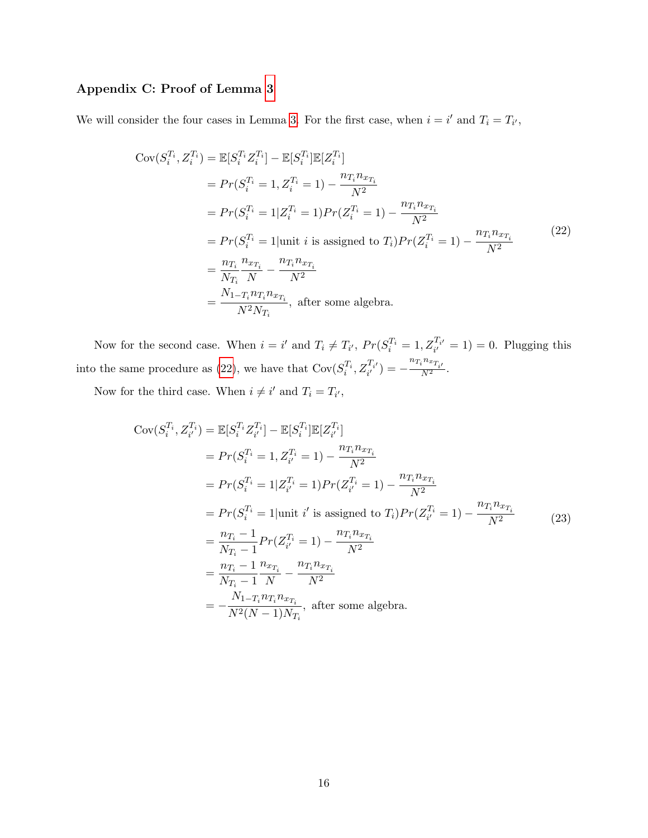# Appendix C: Proof of Lemma [3](#page-8-1)

We will consider the four cases in Lemma [3.](#page-8-1) For the first case, when  $i = i'$  and  $T_i = T_{i'}$ ,

<span id="page-15-0"></span>
$$
Cov(S_i^{T_i}, Z_i^{T_i}) = \mathbb{E}[S_i^{T_i} Z_i^{T_i}] - \mathbb{E}[S_i^{T_i}] \mathbb{E}[Z_i^{T_i}]
$$
  
\n
$$
= Pr(S_i^{T_i} = 1, Z_i^{T_i} = 1) - \frac{n_{T_i} n_{x_{T_i}}}{N^2}
$$
  
\n
$$
= Pr(S_i^{T_i} = 1 | Z_i^{T_i} = 1) Pr(Z_i^{T_i} = 1) - \frac{n_{T_i} n_{x_{T_i}}}{N^2}
$$
  
\n
$$
= Pr(S_i^{T_i} = 1 | \text{unit } i \text{ is assigned to } T_i) Pr(Z_i^{T_i} = 1) - \frac{n_{T_i} n_{x_{T_i}}}{N^2}
$$
  
\n
$$
= \frac{n_{T_i}}{N_{T_i}} \frac{n_{x_{T_i}}}{N} - \frac{n_{T_i} n_{x_{T_i}}}{N^2}
$$
  
\n
$$
= \frac{N_{1-T_i} n_{T_i} n_{x_{T_i}}}{N^2 N_{T_i}}, \text{ after some algebra.}
$$
  
\n(22)

Now for the second case. When  $i = i'$  and  $T_i \neq T_{i'}$ ,  $Pr(S_i^{T_i} = 1, Z_{i'}^{T_{i'}} = 1) = 0$ . Plugging this into the same procedure as [\(22\)](#page-15-0), we have that  $Cov(S_i^{T_i}, Z_{i'}^{T_{i'}}) = -\frac{n_{T_i} n_{x_{T_{i'}}}}{N^2}$ .

Now for the third case. When  $i \neq i'$  and  $T_i = T_{i'}$ ,

$$
Cov(S_i^{T_i}, Z_{i'}^{T_i}) = \mathbb{E}[S_i^{T_i} Z_{i'}^{T_i}] - \mathbb{E}[S_i^{T_i}] \mathbb{E}[Z_{i'}^{T_i}]
$$
  
\n
$$
= Pr(S_i^{T_i} = 1, Z_{i'}^{T_i} = 1) - \frac{n_{T_i} n_{x_{T_i}}}{N^2}
$$
  
\n
$$
= Pr(S_i^{T_i} = 1 | Z_{i'}^{T_i} = 1) Pr(Z_{i'}^{T_i} = 1) - \frac{n_{T_i} n_{x_{T_i}}}{N^2}
$$
  
\n
$$
= Pr(S_i^{T_i} = 1 | \text{unit } i' \text{ is assigned to } T_i) Pr(Z_{i'}^{T_i} = 1) - \frac{n_{T_i} n_{x_{T_i}}}{N^2}
$$
  
\n
$$
= \frac{n_{T_i} - 1}{N_{T_i} - 1} Pr(Z_{i'}^{T_i} = 1) - \frac{n_{T_i} n_{x_{T_i}}}{N^2}
$$
  
\n
$$
= \frac{n_{T_i} - 1}{N_{T_i} - 1} \frac{n_{x_{T_i}}}{N} - \frac{n_{T_i} n_{x_{T_i}}}{N^2}
$$
  
\n
$$
= -\frac{N_{1 - T_i} n_{T_i} n_{x_{T_i}}}{N^2 (N - 1) N_{T_i}}, \text{ after some algebra.}
$$
  
\n(23)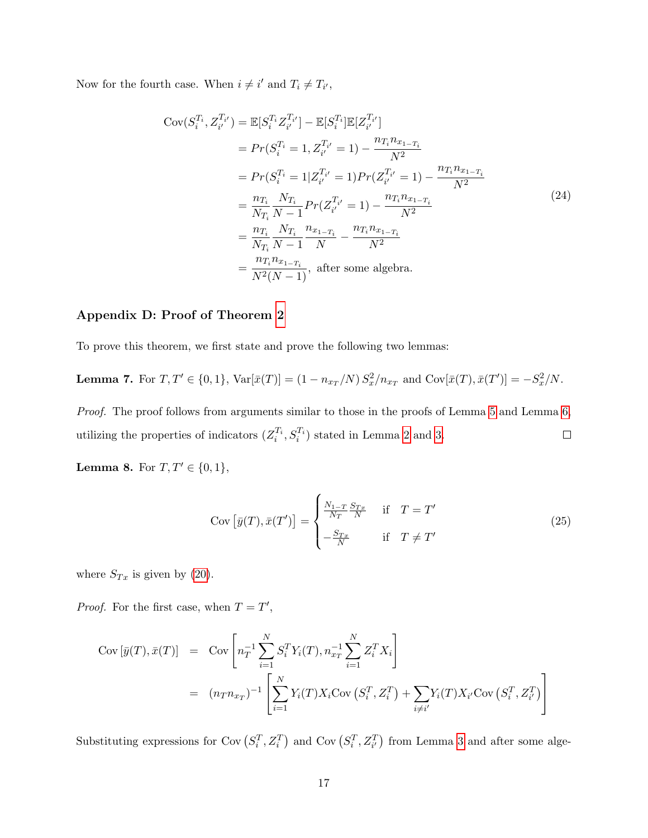Now for the fourth case. When  $i \neq i'$  and  $T_i \neq T_{i'}$ ,

$$
Cov(S_i^{T_i}, Z_{i'}^{T_{i'}}) = \mathbb{E}[S_i^{T_i} Z_{i'}^{T_{i'}}] - \mathbb{E}[S_i^{T_i}] \mathbb{E}[Z_{i'}^{T_{i'}}]
$$
  
\n
$$
= Pr(S_i^{T_i} = 1, Z_{i'}^{T_{i'}} = 1) - \frac{n_{T_i} n_{x_{1-T_i}}}{N^2}
$$
  
\n
$$
= Pr(S_i^{T_i} = 1 | Z_{i'}^{T_{i'}} = 1) Pr(Z_{i'}^{T_{i'}} = 1) - \frac{n_{T_i} n_{x_{1-T_i}}}{N^2}
$$
  
\n
$$
= \frac{n_{T_i}}{N_{T_i}} \frac{N_{T_i}}{N - 1} Pr(Z_{i'}^{T_{i'}} = 1) - \frac{n_{T_i} n_{x_{1-T_i}}}{N^2}
$$
  
\n
$$
= \frac{n_{T_i}}{N_{T_i}} \frac{N_{T_i}}{N - 1} \frac{n_{x_{1-T_i}}}{N} - \frac{n_{T_i} n_{x_{1-T_i}}}{N^2}
$$
  
\n
$$
= \frac{n_{T_i} n_{x_{1-T_i}}}{N^2 (N - 1)}, \text{ after some algebra.}
$$
  
\n(24)

# Appendix D: Proof of Theorem [2](#page-8-4)

To prove this theorem, we first state and prove the following two lemmas:

<span id="page-16-0"></span>**Lemma 7.** For  $T, T' \in \{0, 1\}$ ,  $Var[\bar{x}(T)] = (1 - n_{x_T}/N) S_x^2/n_{x_T}$  and  $Cov[\bar{x}(T), \bar{x}(T')] = -S_x^2/N$ .

Proof. The proof follows from arguments similar to those in the proofs of Lemma [5](#page-13-1) and Lemma [6,](#page-14-0) utilizing the properties of indicators  $(Z_i^{T_i}, S_i^{T_i})$  stated in Lemma [2](#page-8-2) and [3.](#page-8-1)  $\Box$ 

<span id="page-16-1"></span>**Lemma 8.** For  $T, T' \in \{0, 1\}$ ,

$$
Cov\left[\bar{y}(T), \bar{x}(T')\right] = \begin{cases} \frac{N_{1-T}}{N_T} \frac{S_{Tx}}{N} & \text{if } T = T'\\ -\frac{S_{Tx}}{N} & \text{if } T \neq T' \end{cases}
$$
(25)

where  $S_{Tx}$  is given by [\(20\)](#page-9-1).

*Proof.* For the first case, when  $T = T'$ ,

$$
Cov\left[\bar{y}(T), \bar{x}(T)\right] = Cov\left[n_T^{-1} \sum_{i=1}^N S_i^T Y_i(T), n_{x_T}^{-1} \sum_{i=1}^N Z_i^T X_i\right]
$$
  
=  $(n_T n_{x_T})^{-1} \left[\sum_{i=1}^N Y_i(T) X_i Cov\left(S_i^T, Z_i^T\right) + \sum_{i \neq i'} Y_i(T) X_{i'} Cov\left(S_i^T, Z_{i'}^T\right)\right]$ 

Substituting expressions for Cov  $(S_i^T, Z_i^T)$  and Cov  $(S_i^T, Z_{i'}^T)$  from Lemma [3](#page-8-1) and after some alge-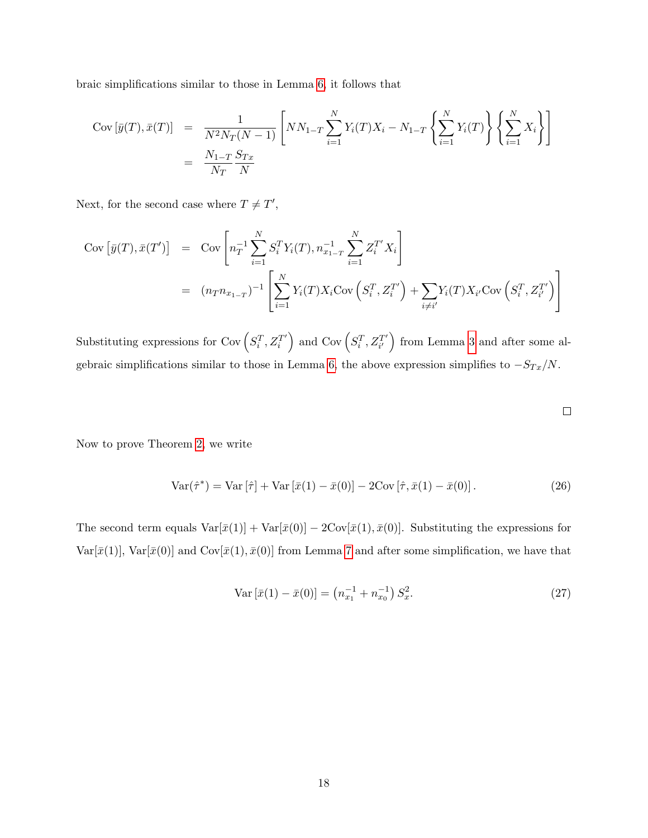braic simplifications similar to those in Lemma [6,](#page-14-0) it follows that

$$
Cov\left[\bar{y}(T), \bar{x}(T)\right] = \frac{1}{N^2 N_T (N-1)} \left[ NN_{1-T} \sum_{i=1}^{N} Y_i(T) X_i - N_{1-T} \left\{ \sum_{i=1}^{N} Y_i(T) \right\} \left\{ \sum_{i=1}^{N} X_i \right\} \right]
$$
  
=  $\frac{N_{1-T}}{N_T} \frac{S_{Tx}}{N}$ 

Next, for the second case where  $T \neq T'$ ,

$$
Cov [\bar{y}(T), \bar{x}(T')] = Cov \left[ n_T^{-1} \sum_{i=1}^{N} S_i^T Y_i(T), n_{x_{1-T}}^{-1} \sum_{i=1}^{N} Z_i^{T'} X_i \right]
$$
  
=  $(n_T n_{x_{1-T}})^{-1} \left[ \sum_{i=1}^{N} Y_i(T) X_i Cov(S_i^T, Z_i^{T'}) + \sum_{i \neq i'} Y_i(T) X_{i'} Cov(S_i^T, Z_{i'}^{T'}) \right]$ 

Substituting expressions for Cov $(S_i^T, Z_i^{T'})$  $\left(\begin{matrix} T' \\ i \end{matrix}\right)$  and Cov  $\left(\begin{matrix} S_i^T, Z_{i'}^{T'} \end{matrix}\right)$  $\begin{pmatrix} T' \\ i' \end{pmatrix}$  from Lemma [3](#page-8-1) and after some al-gebraic simplifications similar to those in Lemma [6,](#page-14-0) the above expression simplifies to  $-S_{Tx}/N$ .

Now to prove Theorem [2,](#page-8-4) we write

<span id="page-17-1"></span>
$$
\text{Var}(\hat{\tau}^*) = \text{Var}[\hat{\tau}] + \text{Var}[\bar{x}(1) - \bar{x}(0)] - 2\text{Cov}[\hat{\tau}, \bar{x}(1) - \bar{x}(0)].\tag{26}
$$

The second term equals  $Var[\bar{x}(1)] + Var[\bar{x}(0)] - 2Cov[\bar{x}(1), \bar{x}(0)]$ . Substituting the expressions for Var[ $\bar{x}(1)$ ], Var[ $\bar{x}(0)$ ] and Cov[ $\bar{x}(1), \bar{x}(0)$ ] from Lemma [7](#page-16-0) and after some simplification, we have that

<span id="page-17-0"></span>
$$
\text{Var}\left[\bar{x}(1) - \bar{x}(0)\right] = \left(n_{x_1}^{-1} + n_{x_0}^{-1}\right)S_x^2. \tag{27}
$$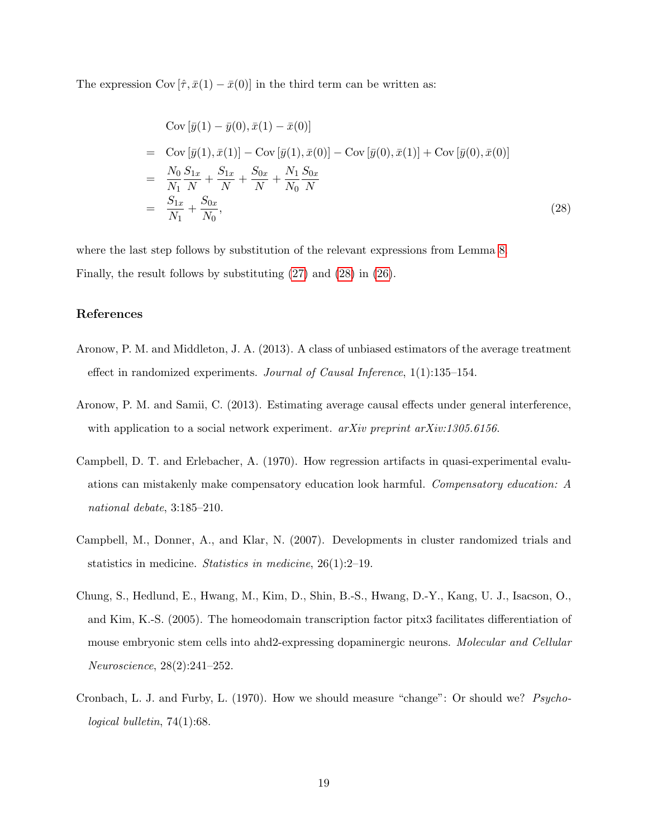The expression Cov  $[\hat{\tau}, \bar{x}(1) - \bar{x}(0)]$  in the third term can be written as:

<span id="page-18-6"></span>
$$
\text{Cov}[\bar{y}(1) - \bar{y}(0), \bar{x}(1) - \bar{x}(0)]
$$
\n
$$
= \text{Cov}[\bar{y}(1), \bar{x}(1)] - \text{Cov}[\bar{y}(1), \bar{x}(0)] - \text{Cov}[\bar{y}(0), \bar{x}(1)] + \text{Cov}[\bar{y}(0), \bar{x}(0)]
$$
\n
$$
= \frac{N_0}{N_1} \frac{S_{1x}}{N} + \frac{S_{1x}}{N} + \frac{S_{0x}}{N} + \frac{N_1}{N_0} \frac{S_{0x}}{N}
$$
\n
$$
= \frac{S_{1x}}{N_1} + \frac{S_{0x}}{N_0},
$$
\n(28)

where the last step follows by substitution of the relevant expressions from Lemma [8.](#page-16-1) Finally, the result follows by substituting [\(27\)](#page-17-0) and [\(28\)](#page-18-6) in [\(26\)](#page-17-1).

# References

- <span id="page-18-4"></span>Aronow, P. M. and Middleton, J. A. (2013). A class of unbiased estimators of the average treatment effect in randomized experiments. Journal of Causal Inference, 1(1):135–154.
- <span id="page-18-5"></span>Aronow, P. M. and Samii, C. (2013). Estimating average causal effects under general interference, with application to a social network experiment. arXiv preprint arXiv:1305.6156.
- <span id="page-18-2"></span>Campbell, D. T. and Erlebacher, A. (1970). How regression artifacts in quasi-experimental evaluations can mistakenly make compensatory education look harmful. Compensatory education: A national debate, 3:185–210.
- <span id="page-18-1"></span>Campbell, M., Donner, A., and Klar, N. (2007). Developments in cluster randomized trials and statistics in medicine. Statistics in medicine, 26(1):2–19.
- <span id="page-18-0"></span>Chung, S., Hedlund, E., Hwang, M., Kim, D., Shin, B.-S., Hwang, D.-Y., Kang, U. J., Isacson, O., and Kim, K.-S. (2005). The homeodomain transcription factor pitx3 facilitates differentiation of mouse embryonic stem cells into ahd2-expressing dopaminergic neurons. Molecular and Cellular Neuroscience, 28(2):241–252.
- <span id="page-18-3"></span>Cronbach, L. J. and Furby, L. (1970). How we should measure "change": Or should we? Psychological bulletin, 74(1):68.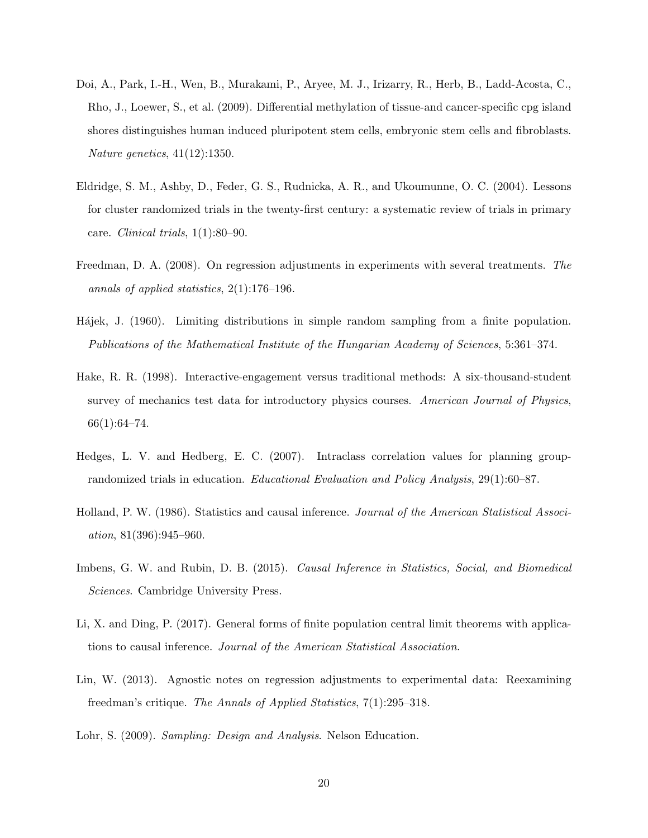- <span id="page-19-2"></span>Doi, A., Park, I.-H., Wen, B., Murakami, P., Aryee, M. J., Irizarry, R., Herb, B., Ladd-Acosta, C., Rho, J., Loewer, S., et al. (2009). Differential methylation of tissue-and cancer-specific cpg island shores distinguishes human induced pluripotent stem cells, embryonic stem cells and fibroblasts. Nature genetics, 41(12):1350.
- <span id="page-19-4"></span>Eldridge, S. M., Ashby, D., Feder, G. S., Rudnicka, A. R., and Ukoumunne, O. C. (2004). Lessons for cluster randomized trials in the twenty-first century: a systematic review of trials in primary care. Clinical trials,  $1(1):80-90$ .
- <span id="page-19-9"></span>Freedman, D. A. (2008). On regression adjustments in experiments with several treatments. The annals of applied statistics,  $2(1):176-196$ .
- <span id="page-19-6"></span>Hájek, J. (1960). Limiting distributions in simple random sampling from a finite population. Publications of the Mathematical Institute of the Hungarian Academy of Sciences, 5:361–374.
- <span id="page-19-8"></span>Hake, R. R. (1998). Interactive-engagement versus traditional methods: A six-thousand-student survey of mechanics test data for introductory physics courses. American Journal of Physics,  $66(1):64-74.$
- <span id="page-19-3"></span>Hedges, L. V. and Hedberg, E. C. (2007). Intraclass correlation values for planning grouprandomized trials in education. Educational Evaluation and Policy Analysis, 29(1):60–87.
- <span id="page-19-0"></span>Holland, P. W. (1986). Statistics and causal inference. Journal of the American Statistical Association, 81(396):945–960.
- <span id="page-19-1"></span>Imbens, G. W. and Rubin, D. B. (2015). Causal Inference in Statistics, Social, and Biomedical Sciences. Cambridge University Press.
- <span id="page-19-7"></span>Li, X. and Ding, P. (2017). General forms of finite population central limit theorems with applications to causal inference. Journal of the American Statistical Association.
- <span id="page-19-10"></span>Lin, W. (2013). Agnostic notes on regression adjustments to experimental data: Reexamining freedman's critique. The Annals of Applied Statistics, 7(1):295–318.
- <span id="page-19-5"></span>Lohr, S. (2009). Sampling: Design and Analysis. Nelson Education.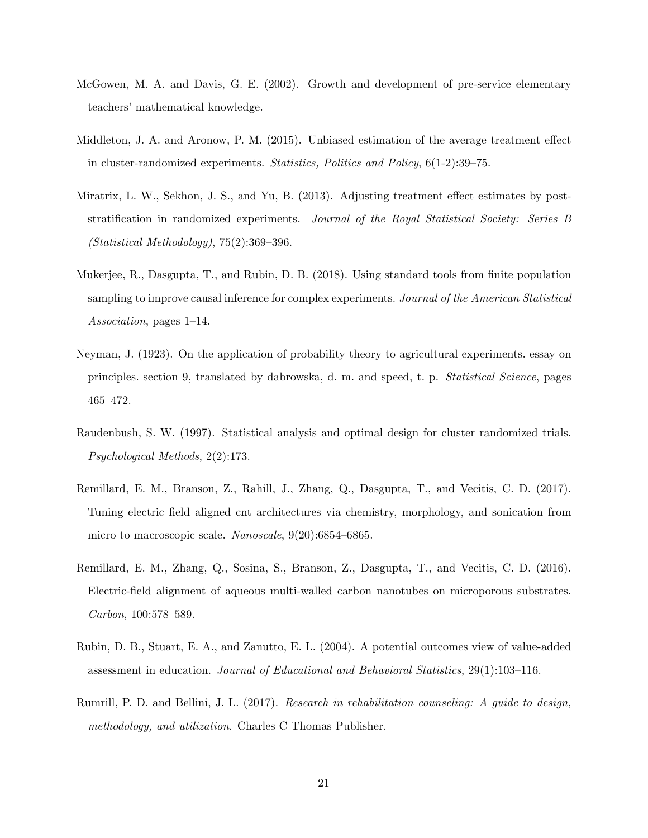- <span id="page-20-5"></span>McGowen, M. A. and Davis, G. E. (2002). Growth and development of pre-service elementary teachers' mathematical knowledge.
- <span id="page-20-8"></span>Middleton, J. A. and Aronow, P. M. (2015). Unbiased estimation of the average treatment effect in cluster-randomized experiments. Statistics, Politics and Policy, 6(1-2):39–75.
- <span id="page-20-7"></span>Miratrix, L. W., Sekhon, J. S., and Yu, B. (2013). Adjusting treatment effect estimates by poststratification in randomized experiments. Journal of the Royal Statistical Society: Series B (Statistical Methodology), 75(2):369–396.
- <span id="page-20-9"></span>Mukerjee, R., Dasgupta, T., and Rubin, D. B. (2018). Using standard tools from finite population sampling to improve causal inference for complex experiments. Journal of the American Statistical Association, pages 1–14.
- <span id="page-20-0"></span>Neyman, J. (1923). On the application of probability theory to agricultural experiments. essay on principles. section 9, translated by dabrowska, d. m. and speed, t. p. Statistical Science, pages 465–472.
- <span id="page-20-3"></span>Raudenbush, S. W. (1997). Statistical analysis and optimal design for cluster randomized trials. Psychological Methods, 2(2):173.
- <span id="page-20-2"></span>Remillard, E. M., Branson, Z., Rahill, J., Zhang, Q., Dasgupta, T., and Vecitis, C. D. (2017). Tuning electric field aligned cnt architectures via chemistry, morphology, and sonication from micro to macroscopic scale. Nanoscale, 9(20):6854–6865.
- <span id="page-20-1"></span>Remillard, E. M., Zhang, Q., Sosina, S., Branson, Z., Dasgupta, T., and Vecitis, C. D. (2016). Electric-field alignment of aqueous multi-walled carbon nanotubes on microporous substrates. Carbon, 100:578–589.
- <span id="page-20-6"></span>Rubin, D. B., Stuart, E. A., and Zanutto, E. L. (2004). A potential outcomes view of value-added assessment in education. Journal of Educational and Behavioral Statistics, 29(1):103–116.
- <span id="page-20-4"></span>Rumrill, P. D. and Bellini, J. L. (2017). Research in rehabilitation counseling: A guide to design, methodology, and utilization. Charles C Thomas Publisher.